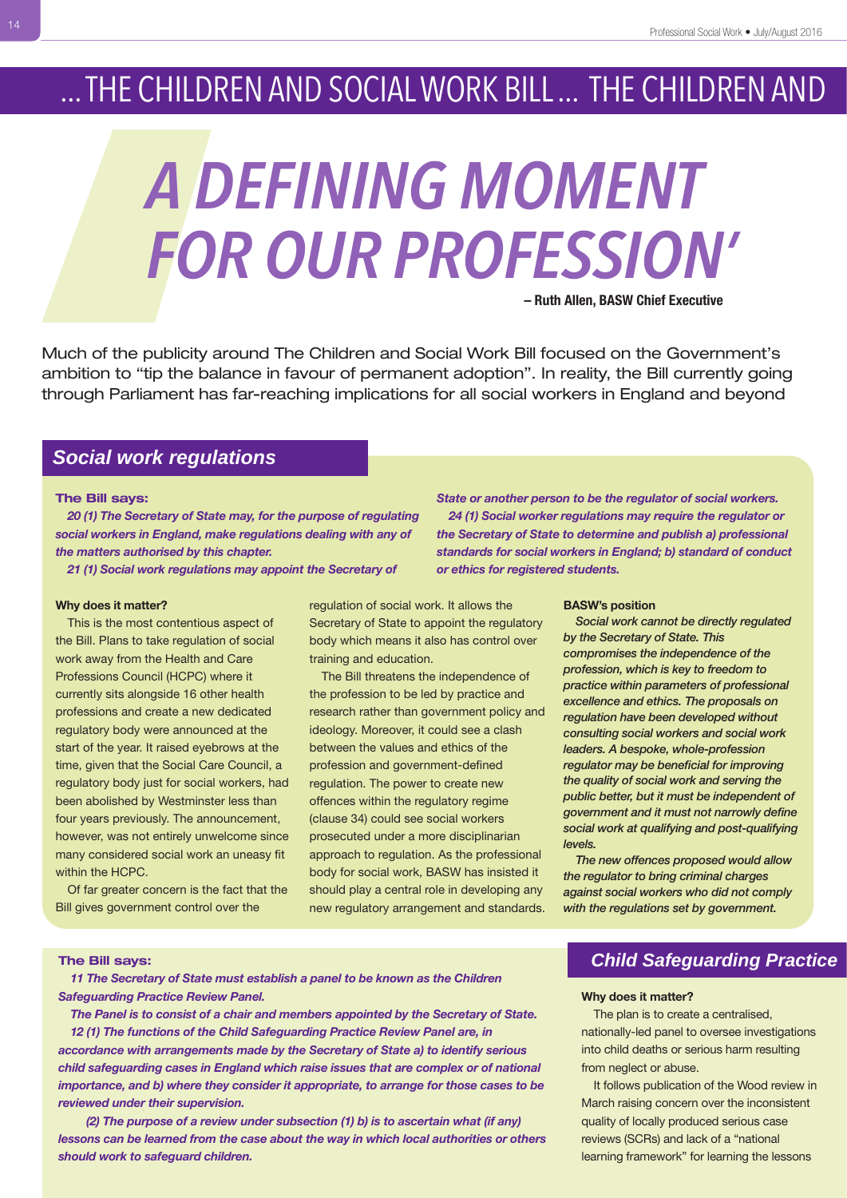# ... THE CHILDREN AND SOCIAL WORK BILL ... THE CHILDREN AND

# *A DEFINING MOMENT FOR OUR PROFESSION'* **– Ruth Allen, BASW Chief Executive**

Much of the publicity around The Children and Social Work Bill focused on the Government's ambition to "tip the balance in favour of permanent adoption". In reality, the Bill currently going through Parliament has far-reaching implications for all social workers in England and beyond

# *Social work regulations*

### **The Bill says:**

*20 (1) The Secretary of State may, for the purpose of regulating social workers in England, make regulations dealing with any of the matters authorised by this chapter.*

*21 (1) Social work regulations may appoint the Secretary of*

### **Why does it matter?**

This is the most contentious aspect of the Bill. Plans to take regulation of social work away from the Health and Care Professions Council (HCPC) where it currently sits alongside 16 other health professions and create a new dedicated regulatory body were announced at the start of the year. It raised eyebrows at the time, given that the Social Care Council, a regulatory body just for social workers, had been abolished by Westminster less than four years previously. The announcement, however, was not entirely unwelcome since many considered social work an uneasy fit within the HCPC. **THE CHILDRE**<br> **CHILDRE**<br>
Much of the publicity arous<br>
ambition to "tip the balann through Parliament has fa<br> **Social work regulation**<br>
The Bill says:<br>
20 (1) The Secretary of State may also the matters authorised by this

> Of far greater concern is the fact that the Bill gives government control over the

regulation of social work. It allows the Secretary of State to appoint the regulatory body which means it also has control over training and education.

The Bill threatens the independence of the profession to be led by practice and research rather than government policy and ideology. Moreover, it could see a clash between the values and ethics of the profession and government-defined regulation. The power to create new offences within the regulatory regime (clause 34) could see social workers prosecuted under a more disciplinarian approach to regulation. As the professional body for social work, BASW has insisted it should play a central role in developing any new regulatory arrangement and standards.

*State or another person to be the regulator of social workers. 24 (1) Social worker regulations may require the regulator or the Secretary of State to determine and publish a) professional standards for social workers in England; b) standard of conduct or ethics for registered students.*

### **BASW's position**

*Social work cannot be directly regulated by the Secretary of State. This compromises the independence of the profession, which is key to freedom to practice within parameters of professional excellence and ethics. The proposals on regulation have been developed without consulting social workers and social work leaders. A bespoke, whole-profession regulator may be beneficial for improving the quality of social work and serving the public better, but it must be independent of government and it must not narrowly define social work at qualifying and post-qualifying levels.* 

*The new offences proposed would allow the regulator to bring criminal charges against social workers who did not comply with the regulations set by government.* 

#### **The Bill says:**

*11 The Secretary of State must establish a panel to be known as the Children Safeguarding Practice Review Panel.*

*The Panel is to consist of a chair and members appointed by the Secretary of State. 12 (1) The functions of the Child Safeguarding Practice Review Panel are, in accordance with arrangements made by the Secretary of State a) to identify serious child safeguarding cases in England which raise issues that are complex or of national importance, and b) where they consider it appropriate, to arrange for those cases to be reviewed under their supervision.*

*(2) The purpose of a review under subsection (1) b) is to ascertain what (if any) lessons can be learned from the case about the way in which local authorities or others should work to safeguard children.*

### **Child Safeguarding Practice**

### **Why does it matter?**

The plan is to create a centralised, nationally-led panel to oversee investigations into child deaths or serious harm resulting from neglect or abuse.

It follows publication of the Wood review in March raising concern over the inconsistent quality of locally produced serious case reviews (SCRs) and lack of a "national learning framework" for learning the lessons